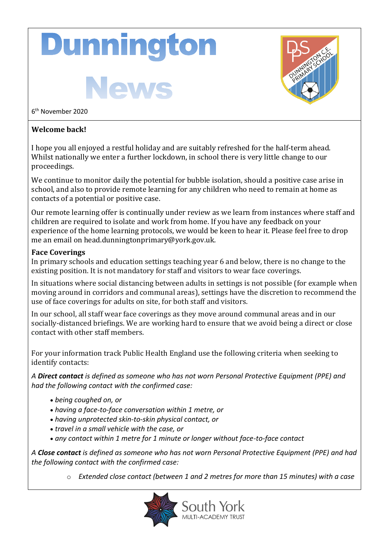# **Dunnington**

News



6 th November 2020

### **Welcome back!**

I hope you all enjoyed a restful holiday and are suitably refreshed for the half-term ahead. Whilst nationally we enter a further lockdown, in school there is very little change to our proceedings.

We continue to monitor daily the potential for bubble isolation, should a positive case arise in school, and also to provide remote learning for any children who need to remain at home as contacts of a potential or positive case.

Our remote learning offer is continually under review as we learn from instances where staff and children are required to isolate and work from home. If you have any feedback on your experience of the home learning protocols, we would be keen to hear it. Please feel free to drop me an email on head.dunningtonprimary@york.gov.uk.

#### **Face Coverings**

In primary schools and education settings teaching year 6 and below, there is no change to the existing position. It is not mandatory for staff and visitors to wear face coverings.

In situations where social distancing between adults in settings is not possible (for example when moving around in corridors and communal areas), settings have the discretion to recommend the use of face coverings for adults on site, for both staff and visitors.

In our school, all staff wear face coverings as they move around communal areas and in our socially-distanced briefings. We are working hard to ensure that we avoid being a direct or close contact with other staff members.

For your information track Public Health England use the following criteria when seeking to identify contacts:

*A Direct contact is defined as someone who has not worn Personal Protective Equipment (PPE) and had the following contact with the confirmed case:*

- *being coughed on, or*
- *having a face-to-face conversation within 1 metre, or*
- *having unprotected skin-to-skin physical contact, or*
- *travel in a small vehicle with the case, or*
- *any contact within 1 metre for 1 minute or longer without face-to-face contact*

*A Close contact is defined as someone who has not worn Personal Protective Equipment (PPE) and had the following contact with the confirmed case:*

o *Extended close contact (between 1 and 2 metres for more than 15 minutes) with a case*